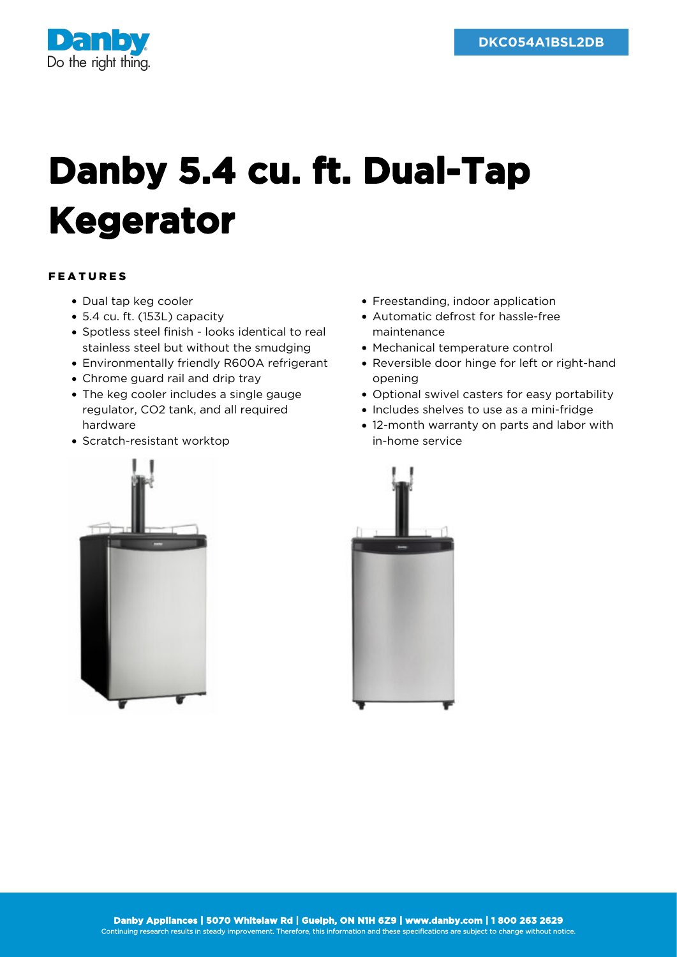

## **Danby 5.4 cu. ft. Dual-Tap Kegerator**

## FEATURES

- Dual tap keg cooler
- 5.4 cu. ft. (153L) capacity
- Spotless steel finish looks identical to real stainless steel but without the smudging
- Environmentally friendly R600A refrigerant
- Chrome guard rail and drip tray
- The keg cooler includes a single gauge regulator, CO2 tank, and all required hardware
- Scratch-resistant worktop



- Automatic defrost for hassle-free maintenance
- Mechanical temperature control
- Reversible door hinge for left or right-hand opening
- Optional swivel casters for easy portability
- Includes shelves to use as a mini-fridge
- 12-month warranty on parts and labor with in-home service